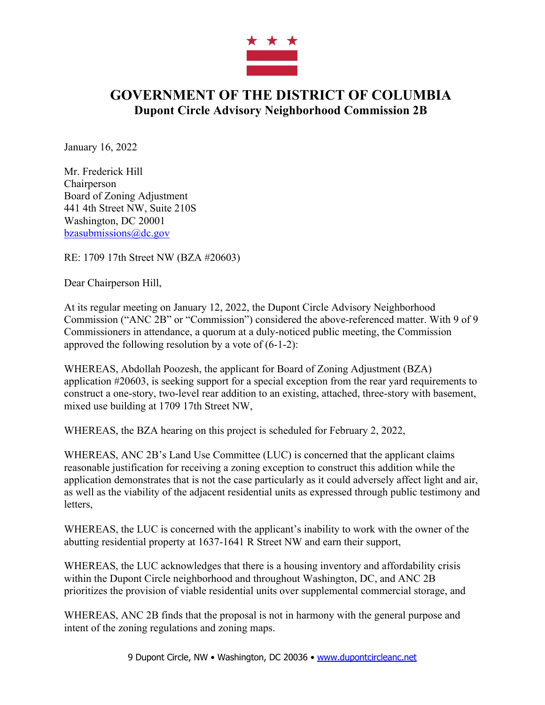

## **GOVERNMENT OF THE DISTRICT OF COLUMBIA Dupont Circle Advisory Neighborhood Commission 2B**

January 16, 2022

Mr. Frederick Hill **Chairperson** Board of Zoning Adjustment 441 4th Street NW, Suite 210S Washington, DC 20001 bzasubmissions@dc.gov

RE: 1709 17th Street NW (BZA #20603)

Dear Chairperson Hill,

At its regular meeting on January 12, 2022, the Dupont Circle Advisory Neighborhood Commission ("ANC 2B" or "Commission") considered the above-referenced matter. With 9 of 9 Commissioners in attendance, a quorum at a duly-noticed public meeting, the Commission approved the following resolution by a vote of (6-1-2):

WHEREAS, Abdollah Poozesh, the applicant for Board of Zoning Adjustment (BZA) application #20603, is seeking support for a special exception from the rear yard requirements to construct a one-story, two-level rear addition to an existing, attached, three-story with basement, mixed use building at 1709 17th Street NW,

WHEREAS, the BZA hearing on this project is scheduled for February 2, 2022,

WHEREAS, ANC 2B's Land Use Committee (LUC) is concerned that the applicant claims reasonable justification for receiving a zoning exception to construct this addition while the application demonstrates that is not the case particularly as it could adversely affect light and air, as well as the viability of the adjacent residential units as expressed through public testimony and letters,

WHEREAS, the LUC is concerned with the applicant's inability to work with the owner of the abutting residential property at 1637-1641 R Street NW and earn their support,

WHEREAS, the LUC acknowledges that there is a housing inventory and affordability crisis within the Dupont Circle neighborhood and throughout Washington, DC, and ANC 2B prioritizes the provision of viable residential units over supplemental commercial storage, and

WHEREAS, ANC 2B finds that the proposal is not in harmony with the general purpose and intent of the zoning regulations and zoning maps.